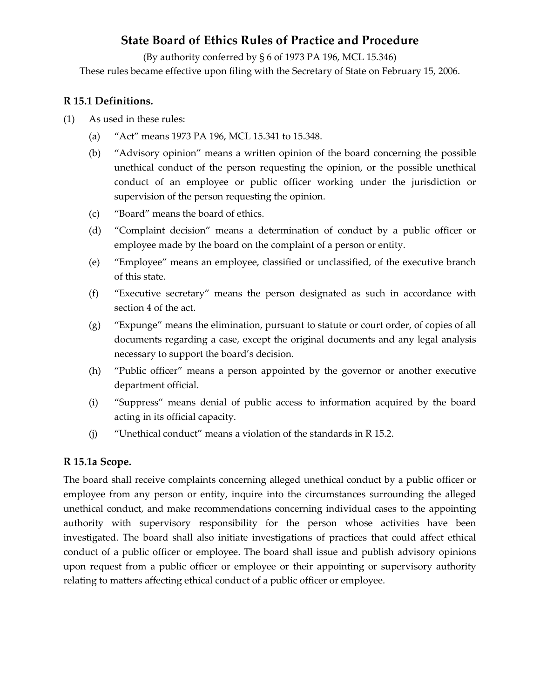# **State Board of Ethics Rules of Practice and Procedure**

(By authority conferred by § 6 of 1973 PA 196, MCL 15.346) These rules became effective upon filing with the Secretary of State on February 15, 2006.

## **R 15.1 Definitions.**

- (1) As used in these rules:
	- (a) "Act" means 1973 PA 196, MCL 15.341 to 15.348.
	- (b) "Advisory opinion" means a written opinion of the board concerning the possible unethical conduct of the person requesting the opinion, or the possible unethical conduct of an employee or public officer working under the jurisdiction or supervision of the person requesting the opinion.
	- (c) "Board" means the board of ethics.
	- (d) "Complaint decision" means a determination of conduct by a public officer or employee made by the board on the complaint of a person or entity.
	- (e) "Employee" means an employee, classified or unclassified, of the executive branch of this state.
	- (f) "Executive secretary" means the person designated as such in accordance with section 4 of the act.
	- (g) "Expunge" means the elimination, pursuant to statute or court order, of copies of all documents regarding a case, except the original documents and any legal analysis necessary to support the board's decision.
	- (h) "Public officer" means a person appointed by the governor or another executive department official.
	- (i) "Suppress" means denial of public access to information acquired by the board acting in its official capacity.
	- (j) "Unethical conduct" means a violation of the standards in R 15.2.

#### **R 15.1a Scope.**

The board shall receive complaints concerning alleged unethical conduct by a public officer or employee from any person or entity, inquire into the circumstances surrounding the alleged unethical conduct, and make recommendations concerning individual cases to the appointing authority with supervisory responsibility for the person whose activities have been investigated. The board shall also initiate investigations of practices that could affect ethical conduct of a public officer or employee. The board shall issue and publish advisory opinions upon request from a public officer or employee or their appointing or supervisory authority relating to matters affecting ethical conduct of a public officer or employee.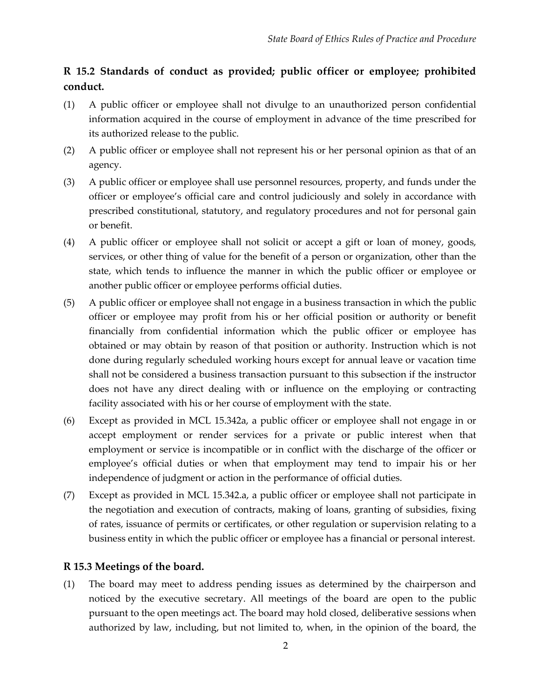# **R 15.2 Standards of conduct as provided; public officer or employee; prohibited conduct.**

- (1) A public officer or employee shall not divulge to an unauthorized person confidential information acquired in the course of employment in advance of the time prescribed for its authorized release to the public.
- (2) A public officer or employee shall not represent his or her personal opinion as that of an agency.
- (3) A public officer or employee shall use personnel resources, property, and funds under the officer or employee's official care and control judiciously and solely in accordance with prescribed constitutional, statutory, and regulatory procedures and not for personal gain or benefit.
- (4) A public officer or employee shall not solicit or accept a gift or loan of money, goods, services, or other thing of value for the benefit of a person or organization, other than the state, which tends to influence the manner in which the public officer or employee or another public officer or employee performs official duties.
- (5) A public officer or employee shall not engage in a business transaction in which the public officer or employee may profit from his or her official position or authority or benefit financially from confidential information which the public officer or employee has obtained or may obtain by reason of that position or authority. Instruction which is not done during regularly scheduled working hours except for annual leave or vacation time shall not be considered a business transaction pursuant to this subsection if the instructor does not have any direct dealing with or influence on the employing or contracting facility associated with his or her course of employment with the state.
- (6) Except as provided in MCL 15.342a, a public officer or employee shall not engage in or accept employment or render services for a private or public interest when that employment or service is incompatible or in conflict with the discharge of the officer or employee's official duties or when that employment may tend to impair his or her independence of judgment or action in the performance of official duties.
- (7) Except as provided in MCL 15.342.a, a public officer or employee shall not participate in the negotiation and execution of contracts, making of loans, granting of subsidies, fixing of rates, issuance of permits or certificates, or other regulation or supervision relating to a business entity in which the public officer or employee has a financial or personal interest.

#### **R 15.3 Meetings of the board.**

(1) The board may meet to address pending issues as determined by the chairperson and noticed by the executive secretary. All meetings of the board are open to the public pursuant to the open meetings act. The board may hold closed, deliberative sessions when authorized by law, including, but not limited to, when, in the opinion of the board, the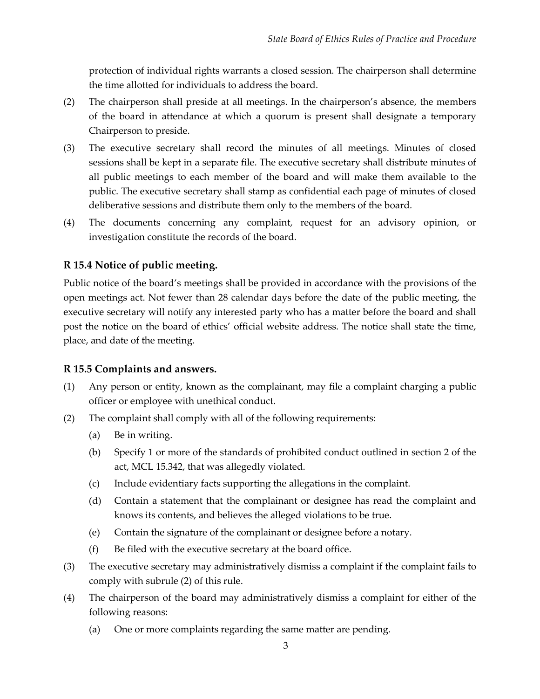protection of individual rights warrants a closed session. The chairperson shall determine the time allotted for individuals to address the board.

- (2) The chairperson shall preside at all meetings. In the chairperson's absence, the members of the board in attendance at which a quorum is present shall designate a temporary Chairperson to preside.
- (3) The executive secretary shall record the minutes of all meetings. Minutes of closed sessions shall be kept in a separate file. The executive secretary shall distribute minutes of all public meetings to each member of the board and will make them available to the public. The executive secretary shall stamp as confidential each page of minutes of closed deliberative sessions and distribute them only to the members of the board.
- (4) The documents concerning any complaint, request for an advisory opinion, or investigation constitute the records of the board.

## **R 15.4 Notice of public meeting.**

Public notice of the board's meetings shall be provided in accordance with the provisions of the open meetings act. Not fewer than 28 calendar days before the date of the public meeting, the executive secretary will notify any interested party who has a matter before the board and shall post the notice on the board of ethics' official website address. The notice shall state the time, place, and date of the meeting.

#### **R 15.5 Complaints and answers.**

- (1) Any person or entity, known as the complainant, may file a complaint charging a public officer or employee with unethical conduct.
- (2) The complaint shall comply with all of the following requirements:
	- (a) Be in writing.
	- (b) Specify 1 or more of the standards of prohibited conduct outlined in section 2 of the act, MCL 15.342, that was allegedly violated.
	- (c) Include evidentiary facts supporting the allegations in the complaint.
	- (d) Contain a statement that the complainant or designee has read the complaint and knows its contents, and believes the alleged violations to be true.
	- (e) Contain the signature of the complainant or designee before a notary.
	- (f) Be filed with the executive secretary at the board office.
- (3) The executive secretary may administratively dismiss a complaint if the complaint fails to comply with subrule (2) of this rule.
- (4) The chairperson of the board may administratively dismiss a complaint for either of the following reasons:
	- (a) One or more complaints regarding the same matter are pending.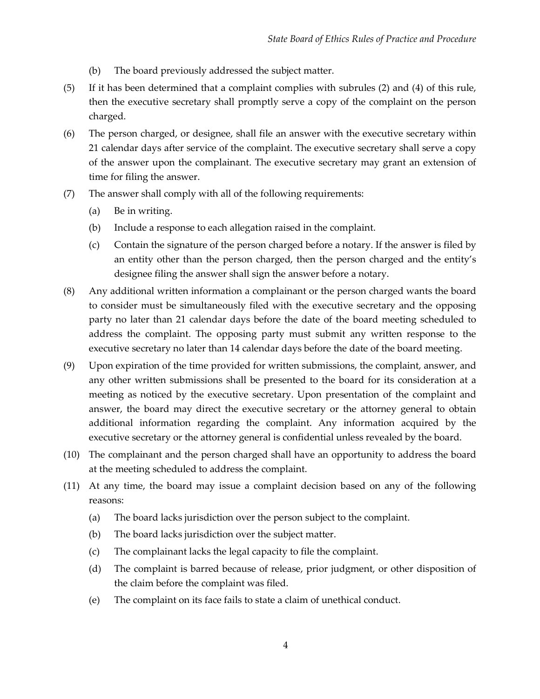- (b) The board previously addressed the subject matter.
- (5) If it has been determined that a complaint complies with subrules (2) and (4) of this rule, then the executive secretary shall promptly serve a copy of the complaint on the person charged.
- (6) The person charged, or designee, shall file an answer with the executive secretary within 21 calendar days after service of the complaint. The executive secretary shall serve a copy of the answer upon the complainant. The executive secretary may grant an extension of time for filing the answer.
- (7) The answer shall comply with all of the following requirements:
	- (a) Be in writing.
	- (b) Include a response to each allegation raised in the complaint.
	- (c) Contain the signature of the person charged before a notary. If the answer is filed by an entity other than the person charged, then the person charged and the entity's designee filing the answer shall sign the answer before a notary.
- (8) Any additional written information a complainant or the person charged wants the board to consider must be simultaneously filed with the executive secretary and the opposing party no later than 21 calendar days before the date of the board meeting scheduled to address the complaint. The opposing party must submit any written response to the executive secretary no later than 14 calendar days before the date of the board meeting.
- (9) Upon expiration of the time provided for written submissions, the complaint, answer, and any other written submissions shall be presented to the board for its consideration at a meeting as noticed by the executive secretary. Upon presentation of the complaint and answer, the board may direct the executive secretary or the attorney general to obtain additional information regarding the complaint. Any information acquired by the executive secretary or the attorney general is confidential unless revealed by the board.
- (10) The complainant and the person charged shall have an opportunity to address the board at the meeting scheduled to address the complaint.
- (11) At any time, the board may issue a complaint decision based on any of the following reasons:
	- (a) The board lacks jurisdiction over the person subject to the complaint.
	- (b) The board lacks jurisdiction over the subject matter.
	- (c) The complainant lacks the legal capacity to file the complaint.
	- (d) The complaint is barred because of release, prior judgment, or other disposition of the claim before the complaint was filed.
	- (e) The complaint on its face fails to state a claim of unethical conduct.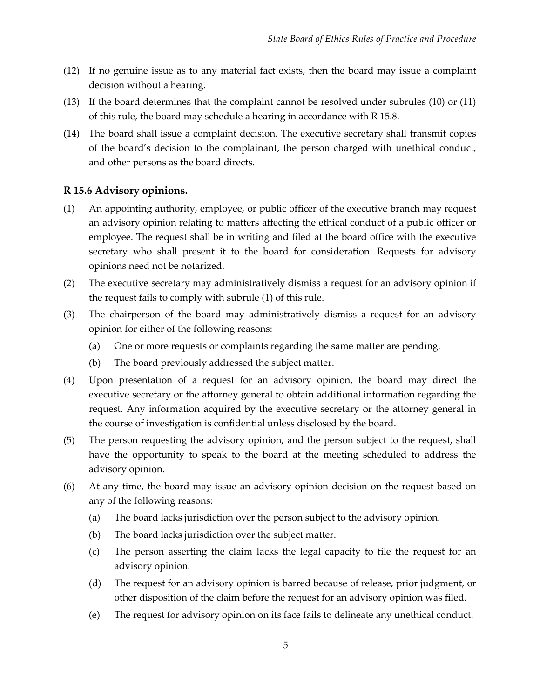- (12) If no genuine issue as to any material fact exists, then the board may issue a complaint decision without a hearing.
- (13) If the board determines that the complaint cannot be resolved under subrules (10) or (11) of this rule, the board may schedule a hearing in accordance with R 15.8.
- (14) The board shall issue a complaint decision. The executive secretary shall transmit copies of the board's decision to the complainant, the person charged with unethical conduct, and other persons as the board directs.

#### **R 15.6 Advisory opinions.**

- (1) An appointing authority, employee, or public officer of the executive branch may request an advisory opinion relating to matters affecting the ethical conduct of a public officer or employee. The request shall be in writing and filed at the board office with the executive secretary who shall present it to the board for consideration. Requests for advisory opinions need not be notarized.
- (2) The executive secretary may administratively dismiss a request for an advisory opinion if the request fails to comply with subrule (1) of this rule.
- (3) The chairperson of the board may administratively dismiss a request for an advisory opinion for either of the following reasons:
	- (a) One or more requests or complaints regarding the same matter are pending.
	- (b) The board previously addressed the subject matter.
- (4) Upon presentation of a request for an advisory opinion, the board may direct the executive secretary or the attorney general to obtain additional information regarding the request. Any information acquired by the executive secretary or the attorney general in the course of investigation is confidential unless disclosed by the board.
- (5) The person requesting the advisory opinion, and the person subject to the request, shall have the opportunity to speak to the board at the meeting scheduled to address the advisory opinion.
- (6) At any time, the board may issue an advisory opinion decision on the request based on any of the following reasons:
	- (a) The board lacks jurisdiction over the person subject to the advisory opinion.
	- (b) The board lacks jurisdiction over the subject matter.
	- (c) The person asserting the claim lacks the legal capacity to file the request for an advisory opinion.
	- (d) The request for an advisory opinion is barred because of release, prior judgment, or other disposition of the claim before the request for an advisory opinion was filed.
	- (e) The request for advisory opinion on its face fails to delineate any unethical conduct.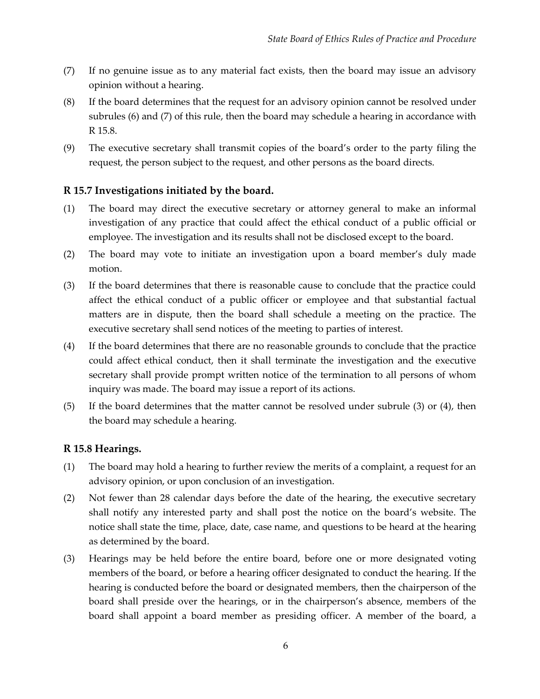- (7) If no genuine issue as to any material fact exists, then the board may issue an advisory opinion without a hearing.
- (8) If the board determines that the request for an advisory opinion cannot be resolved under subrules (6) and (7) of this rule, then the board may schedule a hearing in accordance with R 15.8.
- (9) The executive secretary shall transmit copies of the board's order to the party filing the request, the person subject to the request, and other persons as the board directs.

#### **R 15.7 Investigations initiated by the board.**

- (1) The board may direct the executive secretary or attorney general to make an informal investigation of any practice that could affect the ethical conduct of a public official or employee. The investigation and its results shall not be disclosed except to the board.
- (2) The board may vote to initiate an investigation upon a board member's duly made motion.
- (3) If the board determines that there is reasonable cause to conclude that the practice could affect the ethical conduct of a public officer or employee and that substantial factual matters are in dispute, then the board shall schedule a meeting on the practice. The executive secretary shall send notices of the meeting to parties of interest.
- (4) If the board determines that there are no reasonable grounds to conclude that the practice could affect ethical conduct, then it shall terminate the investigation and the executive secretary shall provide prompt written notice of the termination to all persons of whom inquiry was made. The board may issue a report of its actions.
- (5) If the board determines that the matter cannot be resolved under subrule (3) or (4), then the board may schedule a hearing.

#### **R 15.8 Hearings.**

- (1) The board may hold a hearing to further review the merits of a complaint, a request for an advisory opinion, or upon conclusion of an investigation.
- (2) Not fewer than 28 calendar days before the date of the hearing, the executive secretary shall notify any interested party and shall post the notice on the board's website. The notice shall state the time, place, date, case name, and questions to be heard at the hearing as determined by the board.
- (3) Hearings may be held before the entire board, before one or more designated voting members of the board, or before a hearing officer designated to conduct the hearing. If the hearing is conducted before the board or designated members, then the chairperson of the board shall preside over the hearings, or in the chairperson's absence, members of the board shall appoint a board member as presiding officer. A member of the board, a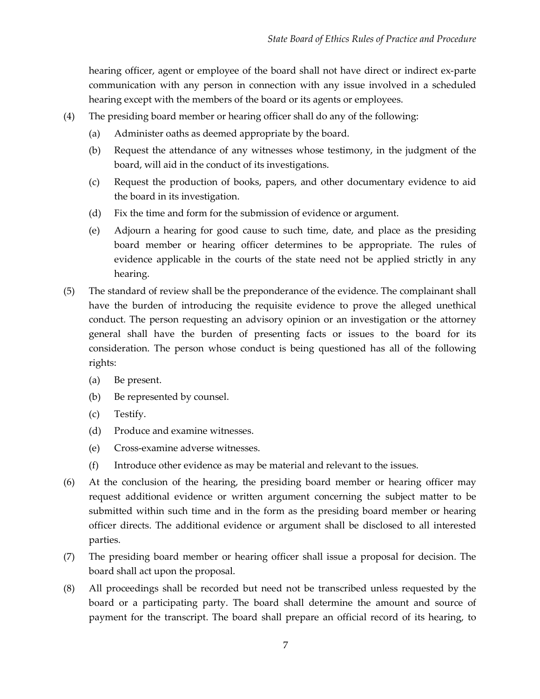hearing officer, agent or employee of the board shall not have direct or indirect ex-parte communication with any person in connection with any issue involved in a scheduled hearing except with the members of the board or its agents or employees.

- (4) The presiding board member or hearing officer shall do any of the following:
	- (a) Administer oaths as deemed appropriate by the board.
	- (b) Request the attendance of any witnesses whose testimony, in the judgment of the board, will aid in the conduct of its investigations.
	- (c) Request the production of books, papers, and other documentary evidence to aid the board in its investigation.
	- (d) Fix the time and form for the submission of evidence or argument.
	- (e) Adjourn a hearing for good cause to such time, date, and place as the presiding board member or hearing officer determines to be appropriate. The rules of evidence applicable in the courts of the state need not be applied strictly in any hearing.
- (5) The standard of review shall be the preponderance of the evidence. The complainant shall have the burden of introducing the requisite evidence to prove the alleged unethical conduct. The person requesting an advisory opinion or an investigation or the attorney general shall have the burden of presenting facts or issues to the board for its consideration. The person whose conduct is being questioned has all of the following rights:
	- (a) Be present.
	- (b) Be represented by counsel.
	- (c) Testify.
	- (d) Produce and examine witnesses.
	- (e) Cross-examine adverse witnesses.
	- (f) Introduce other evidence as may be material and relevant to the issues.
- (6) At the conclusion of the hearing, the presiding board member or hearing officer may request additional evidence or written argument concerning the subject matter to be submitted within such time and in the form as the presiding board member or hearing officer directs. The additional evidence or argument shall be disclosed to all interested parties.
- (7) The presiding board member or hearing officer shall issue a proposal for decision. The board shall act upon the proposal.
- (8) All proceedings shall be recorded but need not be transcribed unless requested by the board or a participating party. The board shall determine the amount and source of payment for the transcript. The board shall prepare an official record of its hearing, to